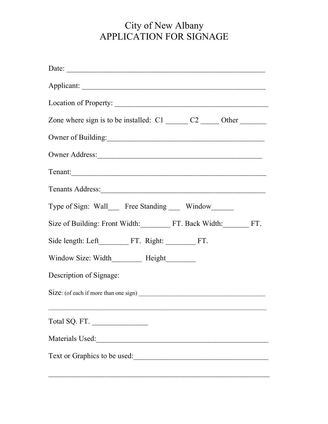## City of New Albany APPLICATION FOR SIGNAGE

| Date: $\overline{\phantom{a}}$                                            |
|---------------------------------------------------------------------------|
|                                                                           |
| Location of Property:                                                     |
| Zone where sign is to be installed: $C1$ ______ $C2$ ______ Other _______ |
| Owner of Building:                                                        |
|                                                                           |
| Tenant:                                                                   |
| Tenants Address: 1988.                                                    |
| Type of Sign: Wall___ Free Standing ___ Window_____                       |
| Size of Building: Front Width: FT. Back Width: FT.                        |
|                                                                           |
| Window Size: Width________ Height_______                                  |
| Description of Signage:                                                   |
|                                                                           |
| Total SQ. FT.                                                             |
|                                                                           |
| Text or Graphics to be used:                                              |